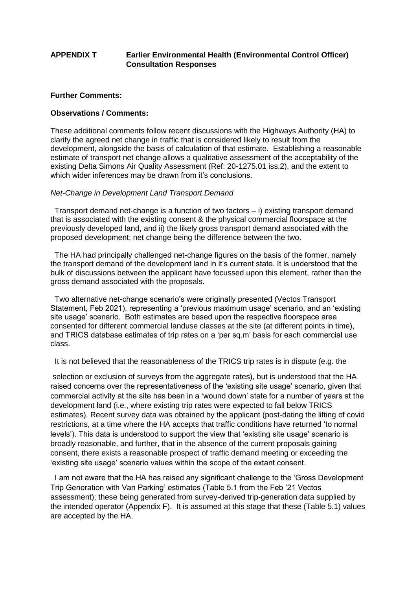# **APPENDIX T Earlier Environmental Health (Environmental Control Officer) Consultation Responses**

#### **Further Comments:**

## **Observations / Comments:**

These additional comments follow recent discussions with the Highways Authority (HA) to clarify the agreed net change in traffic that is considered likely to result from the development, alongside the basis of calculation of that estimate. Establishing a reasonable estimate of transport net change allows a qualitative assessment of the acceptability of the existing Delta Simons Air Quality Assessment (Ref: 20-1275.01 iss.2), and the extent to which wider inferences may be drawn from it's conclusions.

## *Net-Change in Development Land Transport Demand*

 Transport demand net-change is a function of two factors – i) existing transport demand that is associated with the existing consent & the physical commercial floorspace at the previously developed land, and ii) the likely gross transport demand associated with the proposed development; net change being the difference between the two.

 The HA had principally challenged net-change figures on the basis of the former, namely the transport demand of the development land in it's current state. It is understood that the bulk of discussions between the applicant have focussed upon this element, rather than the gross demand associated with the proposals.

 Two alternative net-change scenario's were originally presented (Vectos Transport Statement, Feb 2021), representing a 'previous maximum usage' scenario, and an 'existing site usage' scenario. Both estimates are based upon the respective floorspace area consented for different commercial landuse classes at the site (at different points in time), and TRICS database estimates of trip rates on a 'per sq.m' basis for each commercial use class.

It is not believed that the reasonableness of the TRICS trip rates is in dispute (e.g. the

selection or exclusion of surveys from the aggregate rates), but is understood that the HA raised concerns over the representativeness of the 'existing site usage' scenario, given that commercial activity at the site has been in a 'wound down' state for a number of years at the development land (i.e., where existing trip rates were expected to fall below TRICS estimates). Recent survey data was obtained by the applicant (post-dating the lifting of covid restrictions, at a time where the HA accepts that traffic conditions have returned 'to normal levels'). This data is understood to support the view that 'existing site usage' scenario is broadly reasonable, and further, that in the absence of the current proposals gaining consent, there exists a reasonable prospect of traffic demand meeting or exceeding the 'existing site usage' scenario values within the scope of the extant consent.

 I am not aware that the HA has raised any significant challenge to the 'Gross Development Trip Generation with Van Parking' estimates (Table 5.1 from the Feb '21 Vectos assessment); these being generated from survey-derived trip-generation data supplied by the intended operator (Appendix F). It is assumed at this stage that these (Table 5.1) values are accepted by the HA.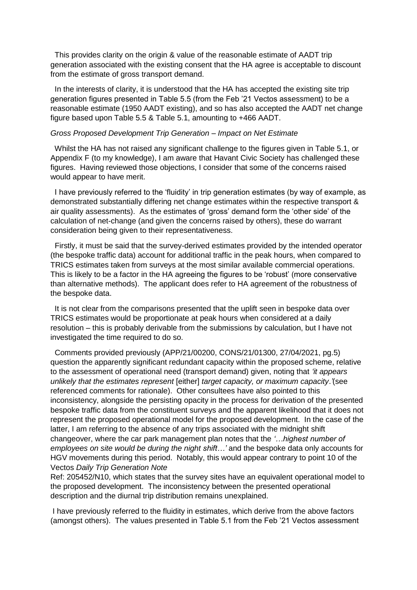This provides clarity on the origin & value of the reasonable estimate of AADT trip generation associated with the existing consent that the HA agree is acceptable to discount from the estimate of gross transport demand.

In the interests of clarity, it is understood that the HA has accepted the existing site trip generation figures presented in Table 5.5 (from the Feb '21 Vectos assessment) to be a reasonable estimate (1950 AADT existing), and so has also accepted the AADT net change figure based upon Table 5.5 & Table 5.1, amounting to +466 AADT.

#### *Gross Proposed Development Trip Generation – Impact on Net Estimate*

 Whilst the HA has not raised any significant challenge to the figures given in Table 5.1, or Appendix F (to my knowledge), I am aware that Havant Civic Society has challenged these figures. Having reviewed those objections, I consider that some of the concerns raised would appear to have merit.

 I have previously referred to the 'fluidity' in trip generation estimates (by way of example, as demonstrated substantially differing net change estimates within the respective transport & air quality assessments). As the estimates of 'gross' demand form the 'other side' of the calculation of net-change (and given the concerns raised by others), these do warrant consideration being given to their representativeness.

 Firstly, it must be said that the survey-derived estimates provided by the intended operator (the bespoke traffic data) account for additional traffic in the peak hours, when compared to TRICS estimates taken from surveys at the most similar available commercial operations. This is likely to be a factor in the HA agreeing the figures to be 'robust' (more conservative than alternative methods). The applicant does refer to HA agreement of the robustness of the bespoke data.

 It is not clear from the comparisons presented that the uplift seen in bespoke data over TRICS estimates would be proportionate at peak hours when considered at a daily resolution – this is probably derivable from the submissions by calculation, but I have not investigated the time required to do so.

 Comments provided previously (APP/21/00200, CONS/21/01300, 27/04/2021, pg.5) question the apparently significant redundant capacity within the proposed scheme, relative to the assessment of operational need (transport demand) given, noting that *'it appears unlikely that the estimates represent* [either] *target capacity, or maximum capacity*.*'*(see referenced comments for rationale). Other consultees have also pointed to this inconsistency, alongside the persisting opacity in the process for derivation of the presented bespoke traffic data from the constituent surveys and the apparent likelihood that it does not represent the proposed operational model for the proposed development. In the case of the latter, I am referring to the absence of any trips associated with the midnight shift changeover, where the car park management plan notes that the *'…highest number of employees on site would be during the night shift…'* and the bespoke data only accounts for HGV movements during this period. Notably, this would appear contrary to point 10 of the Vectos *Daily Trip Generation Note*

Ref: 205452/N10, which states that the survey sites have an equivalent operational model to the proposed development. The inconsistency between the presented operational description and the diurnal trip distribution remains unexplained.

I have previously referred to the fluidity in estimates, which derive from the above factors (amongst others). The values presented in Table 5.1 from the Feb '21 Vectos assessment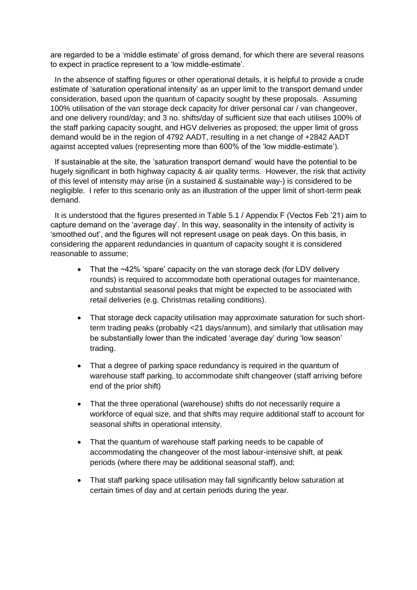are regarded to be a 'middle estimate' of gross demand, for which there are several reasons to expect in practice represent to a 'low middle-estimate'.

 In the absence of staffing figures or other operational details, it is helpful to provide a crude estimate of 'saturation operational intensity' as an upper limit to the transport demand under consideration, based upon the quantum of capacity sought by these proposals. Assuming 100% utilisation of the van storage deck capacity for driver personal car / van changeover, and one delivery round/day; and 3 no. shifts/day of sufficient size that each utilises 100% of the staff parking capacity sought, and HGV deliveries as proposed; the upper limit of gross demand would be in the region of 4792 AADT, resulting in a net change of +2842 AADT against accepted values (representing more than 600% of the 'low middle-estimate').

 If sustainable at the site, the 'saturation transport demand' would have the potential to be hugely significant in both highway capacity & air quality terms. However, the risk that activity of this level of intensity may arise (in a sustained & sustainable way-) is considered to be negligible. I refer to this scenario only as an illustration of the upper limit of short-term peak demand.

 It is understood that the figures presented in Table 5.1 / Appendix F (Vectos Feb '21) aim to capture demand on the 'average day'. In this way, seasonality in the intensity of activity is 'smoothed out', and the figures will not represent usage on peak days. On this basis, in considering the apparent redundancies in quantum of capacity sought it is considered reasonable to assume;

- That the ~42% 'spare' capacity on the van storage deck (for LDV delivery rounds) is required to accommodate both operational outages for maintenance, and substantial seasonal peaks that might be expected to be associated with retail deliveries (e.g. Christmas retailing conditions).
- That storage deck capacity utilisation may approximate saturation for such shortterm trading peaks (probably <21 days/annum), and similarly that utilisation may be substantially lower than the indicated 'average day' during 'low season' trading.
- That a degree of parking space redundancy is required in the quantum of warehouse staff parking, to accommodate shift changeover (staff arriving before end of the prior shift)
- That the three operational (warehouse) shifts do not necessarily require a workforce of equal size, and that shifts may require additional staff to account for seasonal shifts in operational intensity.
- That the quantum of warehouse staff parking needs to be capable of accommodating the changeover of the most labour-intensive shift, at peak periods (where there may be additional seasonal staff), and;
- That staff parking space utilisation may fall significantly below saturation at certain times of day and at certain periods during the year.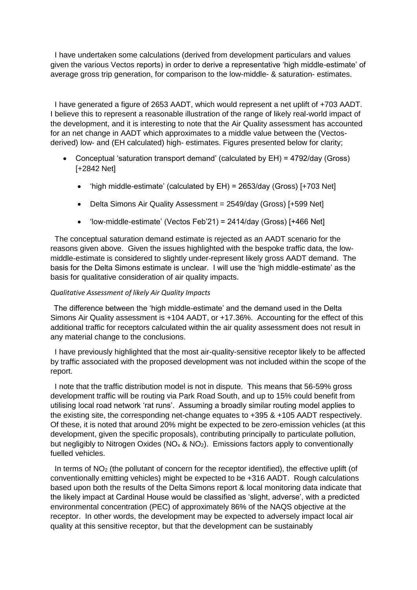I have undertaken some calculations (derived from development particulars and values given the various Vectos reports) in order to derive a representative 'high middle-estimate' of average gross trip generation, for comparison to the low-middle- & saturation- estimates.

 I have generated a figure of 2653 AADT, which would represent a net uplift of +703 AADT. I believe this to represent a reasonable illustration of the range of likely real-world impact of the development, and it is interesting to note that the Air Quality assessment has accounted for an net change in AADT which approximates to a middle value between the (Vectosderived) low- and (EH calculated) high- estimates. Figures presented below for clarity;

- Conceptual 'saturation transport demand' (calculated by EH) = 4792/day (Gross) [+2842 Net]
	- 'high middle-estimate' (calculated by EH) = 2653/day (Gross) [+703 Net]
	- Delta Simons Air Quality Assessment = 2549/day (Gross) [+599 Net]
	- 'low-middle-estimate' (Vectos Feb'21) = 2414/day (Gross) [+466 Net]

 The conceptual saturation demand estimate is rejected as an AADT scenario for the reasons given above. Given the issues highlighted with the bespoke traffic data, the lowmiddle-estimate is considered to slightly under-represent likely gross AADT demand. The basis for the Delta Simons estimate is unclear. I will use the 'high middle-estimate' as the basis for qualitative consideration of air quality impacts.

# *Qualitative Assessment of likely Air Quality Impacts*

 The difference between the 'high middle-estimate' and the demand used in the Delta Simons Air Quality assessment is +104 AADT, or +17.36%. Accounting for the effect of this additional traffic for receptors calculated within the air quality assessment does not result in any material change to the conclusions.

 I have previously highlighted that the most air-quality-sensitive receptor likely to be affected by traffic associated with the proposed development was not included within the scope of the report.

 I note that the traffic distribution model is not in dispute. This means that 56-59% gross development traffic will be routing via Park Road South, and up to 15% could benefit from utilising local road network 'rat runs'. Assuming a broadly similar routing model applies to the existing site, the corresponding net-change equates to +395 & +105 AADT respectively. Of these, it is noted that around 20% might be expected to be zero-emission vehicles (at this development, given the specific proposals), contributing principally to particulate pollution, but negligibly to Nitrogen Oxides ( $NO<sub>x</sub>$  &  $NO<sub>2</sub>$ ). Emissions factors apply to conventionally fuelled vehicles.

In terms of  $NO<sub>2</sub>$  (the pollutant of concern for the receptor identified), the effective uplift (of conventionally emitting vehicles) might be expected to be +316 AADT. Rough calculations based upon both the results of the Delta Simons report & local monitoring data indicate that the likely impact at Cardinal House would be classified as 'slight, adverse', with a predicted environmental concentration (PEC) of approximately 86% of the NAQS objective at the receptor. In other words, the development may be expected to adversely impact local air quality at this sensitive receptor, but that the development can be sustainably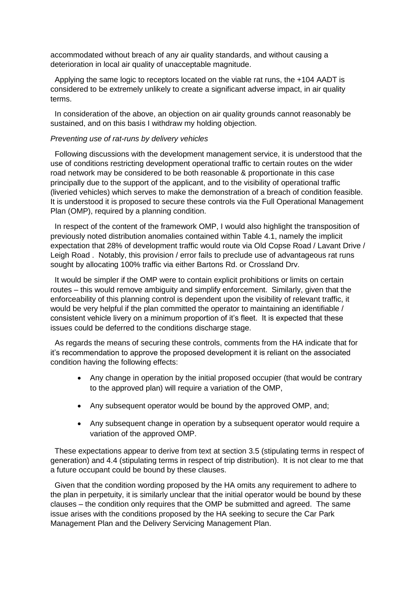accommodated without breach of any air quality standards, and without causing a deterioration in local air quality of unacceptable magnitude.

 Applying the same logic to receptors located on the viable rat runs, the +104 AADT is considered to be extremely unlikely to create a significant adverse impact, in air quality terms.

 In consideration of the above, an objection on air quality grounds cannot reasonably be sustained, and on this basis I withdraw my holding objection.

## *Preventing use of rat-runs by delivery vehicles*

 Following discussions with the development management service, it is understood that the use of conditions restricting development operational traffic to certain routes on the wider road network may be considered to be both reasonable & proportionate in this case principally due to the support of the applicant, and to the visibility of operational traffic (liveried vehicles) which serves to make the demonstration of a breach of condition feasible. It is understood it is proposed to secure these controls via the Full Operational Management Plan (OMP), required by a planning condition.

 In respect of the content of the framework OMP, I would also highlight the transposition of previously noted distribution anomalies contained within Table 4.1, namely the implicit expectation that 28% of development traffic would route via Old Copse Road / Lavant Drive / Leigh Road . Notably, this provision / error fails to preclude use of advantageous rat runs sought by allocating 100% traffic via either Bartons Rd. or Crossland Drv.

 It would be simpler if the OMP were to contain explicit prohibitions or limits on certain routes – this would remove ambiguity and simplify enforcement. Similarly, given that the enforceability of this planning control is dependent upon the visibility of relevant traffic, it would be very helpful if the plan committed the operator to maintaining an identifiable / consistent vehicle livery on a minimum proportion of it's fleet. It is expected that these issues could be deferred to the conditions discharge stage.

 As regards the means of securing these controls, comments from the HA indicate that for it's recommendation to approve the proposed development it is reliant on the associated condition having the following effects:

- Any change in operation by the initial proposed occupier (that would be contrary to the approved plan) will require a variation of the OMP,
- Any subsequent operator would be bound by the approved OMP, and:
- Any subsequent change in operation by a subsequent operator would require a variation of the approved OMP.

 These expectations appear to derive from text at section 3.5 (stipulating terms in respect of generation) and 4.4 (stipulating terms in respect of trip distribution). It is not clear to me that a future occupant could be bound by these clauses.

 Given that the condition wording proposed by the HA omits any requirement to adhere to the plan in perpetuity, it is similarly unclear that the initial operator would be bound by these clauses – the condition only requires that the OMP be submitted and agreed. The same issue arises with the conditions proposed by the HA seeking to secure the Car Park Management Plan and the Delivery Servicing Management Plan.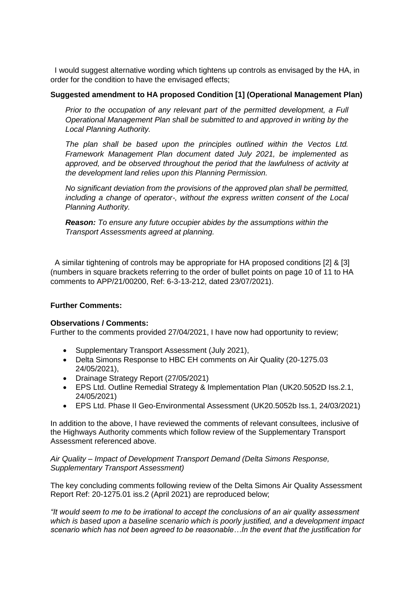I would suggest alternative wording which tightens up controls as envisaged by the HA, in order for the condition to have the envisaged effects;

## **Suggested amendment to HA proposed Condition [1] (Operational Management Plan)**

*Prior to the occupation of any relevant part of the permitted development, a Full Operational Management Plan shall be submitted to and approved in writing by the Local Planning Authority.* 

*The plan shall be based upon the principles outlined within the Vectos Ltd. Framework Management Plan document dated July 2021, be implemented as approved, and be observed throughout the period that the lawfulness of activity at the development land relies upon this Planning Permission.*

*No significant deviation from the provisions of the approved plan shall be permitted, including a change of operator-, without the express written consent of the Local Planning Authority.*

*Reason: To ensure any future occupier abides by the assumptions within the Transport Assessments agreed at planning.*

 A similar tightening of controls may be appropriate for HA proposed conditions [2] & [3] (numbers in square brackets referring to the order of bullet points on page 10 of 11 to HA comments to APP/21/00200, Ref: 6-3-13-212, dated 23/07/2021).

# **Further Comments:**

#### **Observations / Comments:**

Further to the comments provided 27/04/2021, I have now had opportunity to review;

- Supplementary Transport Assessment (July 2021),
- Delta Simons Response to HBC EH comments on Air Quality (20-1275.03 24/05/2021),
- Drainage Strategy Report (27/05/2021)
- EPS Ltd. Outline Remedial Strategy & Implementation Plan (UK20.5052D Iss.2.1, 24/05/2021)
- EPS Ltd. Phase II Geo-Environmental Assessment (UK20.5052b Iss.1, 24/03/2021)

In addition to the above, I have reviewed the comments of relevant consultees, inclusive of the Highways Authority comments which follow review of the Supplementary Transport Assessment referenced above.

## *Air Quality – Impact of Development Transport Demand (Delta Simons Response, Supplementary Transport Assessment)*

The key concluding comments following review of the Delta Simons Air Quality Assessment Report Ref: 20-1275.01 iss.2 (April 2021) are reproduced below;

*"It would seem to me to be irrational to accept the conclusions of an air quality assessment which is based upon a baseline scenario which is poorly justified, and a development impact scenario which has not been agreed to be reasonable…In the event that the justification for*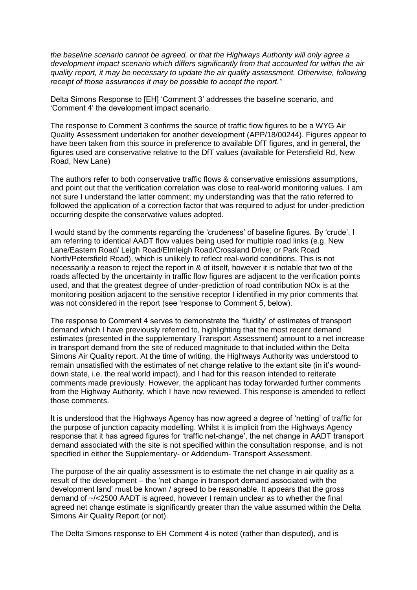*the baseline scenario cannot be agreed, or that the Highways Authority will only agree a development impact scenario which differs significantly from that accounted for within the air quality report, it may be necessary to update the air quality assessment. Otherwise, following receipt of those assurances it may be possible to accept the report."* 

Delta Simons Response to [EH] 'Comment 3' addresses the baseline scenario, and 'Comment 4' the development impact scenario.

The response to Comment 3 confirms the source of traffic flow figures to be a WYG Air Quality Assessment undertaken for another development (APP/18/00244). Figures appear to have been taken from this source in preference to available DfT figures, and in general, the figures used are conservative relative to the DfT values (available for Petersfield Rd, New Road, New Lane)

The authors refer to both conservative traffic flows & conservative emissions assumptions, and point out that the verification correlation was close to real-world monitoring values. I am not sure I understand the latter comment; my understanding was that the ratio referred to followed the application of a correction factor that was required to adjust for under-prediction occurring despite the conservative values adopted.

I would stand by the comments regarding the 'crudeness' of baseline figures. By 'crude', I am referring to identical AADT flow values being used for multiple road links (e.g. New Lane/Eastern Road/ Leigh Road/Elmleigh Road/Crossland Drive; or Park Road North/Petersfield Road), which is unlikely to reflect real-world conditions. This is not necessarily a reason to reject the report in & of itself, however it is notable that two of the roads affected by the uncertainty in traffic flow figures are adjacent to the verification points used, and that the greatest degree of under-prediction of road contribution NOx is at the monitoring position adjacent to the sensitive receptor I identified in my prior comments that was not considered in the report (see 'response to Comment 5, below).

The response to Comment 4 serves to demonstrate the 'fluidity' of estimates of transport demand which I have previously referred to, highlighting that the most recent demand estimates (presented in the supplementary Transport Assessment) amount to a net increase in transport demand from the site of reduced magnitude to that included within the Delta Simons Air Quality report. At the time of writing, the Highways Authority was understood to remain unsatisfied with the estimates of net change relative to the extant site (in it's wounddown state, i.e. the real world impact), and I had for this reason intended to reiterate comments made previously. However, the applicant has today forwarded further comments from the Highway Authority, which I have now reviewed. This response is amended to reflect those comments.

It is understood that the Highways Agency has now agreed a degree of 'netting' of traffic for the purpose of junction capacity modelling. Whilst it is implicit from the Highways Agency response that it has agreed figures for 'traffic net-change', the net change in AADT transport demand associated with the site is not specified within the consultation response, and is not specified in either the Supplementary- or Addendum- Transport Assessment.

The purpose of the air quality assessment is to estimate the net change in air quality as a result of the development – the 'net change in transport demand associated with the development land' must be known / agreed to be reasonable. It appears that the gross demand of ~/<2500 AADT is agreed, however I remain unclear as to whether the final agreed net change estimate is significantly greater than the value assumed within the Delta Simons Air Quality Report (or not).

The Delta Simons response to EH Comment 4 is noted (rather than disputed), and is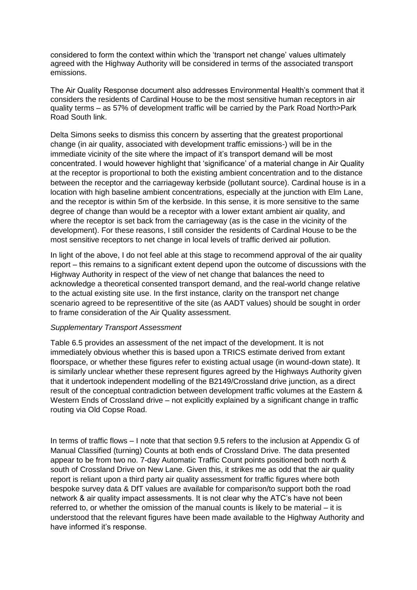considered to form the context within which the 'transport net change' values ultimately agreed with the Highway Authority will be considered in terms of the associated transport emissions.

The Air Quality Response document also addresses Environmental Health's comment that it considers the residents of Cardinal House to be the most sensitive human receptors in air quality terms – as 57% of development traffic will be carried by the Park Road North>Park Road South link.

Delta Simons seeks to dismiss this concern by asserting that the greatest proportional change (in air quality, associated with development traffic emissions-) will be in the immediate vicinity of the site where the impact of it's transport demand will be most concentrated. I would however highlight that 'significance' of a material change in Air Quality at the receptor is proportional to both the existing ambient concentration and to the distance between the receptor and the carriageway kerbside (pollutant source). Cardinal house is in a location with high baseline ambient concentrations, especially at the junction with Elm Lane, and the receptor is within 5m of the kerbside. In this sense, it is more sensitive to the same degree of change than would be a receptor with a lower extant ambient air quality, and where the receptor is set back from the carriageway (as is the case in the vicinity of the development). For these reasons, I still consider the residents of Cardinal House to be the most sensitive receptors to net change in local levels of traffic derived air pollution.

In light of the above, I do not feel able at this stage to recommend approval of the air quality report – this remains to a significant extent depend upon the outcome of discussions with the Highway Authority in respect of the view of net change that balances the need to acknowledge a theoretical consented transport demand, and the real-world change relative to the actual existing site use. In the first instance, clarity on the transport net change scenario agreed to be representitive of the site (as AADT values) should be sought in order to frame consideration of the Air Quality assessment.

#### *Supplementary Transport Assessment*

Table 6.5 provides an assessment of the net impact of the development. It is not immediately obvious whether this is based upon a TRICS estimate derived from extant floorspace, or whether these figures refer to existing actual usage (in wound-down state). It is similarly unclear whether these represent figures agreed by the Highways Authority given that it undertook independent modelling of the B2149/Crossland drive junction, as a direct result of the conceptual contradiction between development traffic volumes at the Eastern & Western Ends of Crossland drive – not explicitly explained by a significant change in traffic routing via Old Copse Road.

In terms of traffic flows – I note that that section 9.5 refers to the inclusion at Appendix G of Manual Classified (turning) Counts at both ends of Crossland Drive. The data presented appear to be from two no. 7-day Automatic Traffic Count points positioned both north & south of Crossland Drive on New Lane. Given this, it strikes me as odd that the air quality report is reliant upon a third party air quality assessment for traffic figures where both bespoke survey data & DfT values are available for comparison/to support both the road network & air quality impact assessments. It is not clear why the ATC's have not been referred to, or whether the omission of the manual counts is likely to be material – it is understood that the relevant figures have been made available to the Highway Authority and have informed it's response.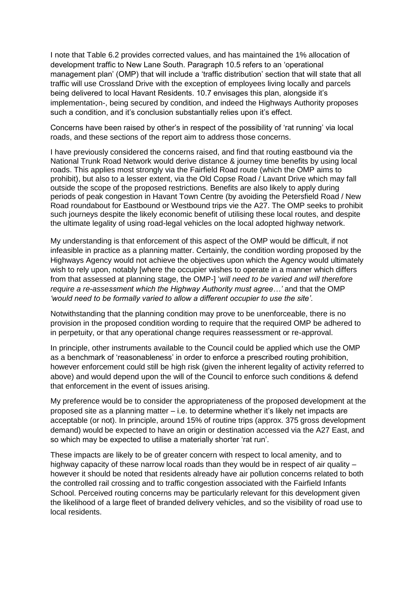I note that Table 6.2 provides corrected values, and has maintained the 1% allocation of development traffic to New Lane South. Paragraph 10.5 refers to an 'operational management plan' (OMP) that will include a 'traffic distribution' section that will state that all traffic will use Crossland Drive with the exception of employees living locally and parcels being delivered to local Havant Residents. 10.7 envisages this plan, alongside it's implementation-, being secured by condition, and indeed the Highways Authority proposes such a condition, and it's conclusion substantially relies upon it's effect.

Concerns have been raised by other's in respect of the possibility of 'rat running' via local roads, and these sections of the report aim to address those concerns.

I have previously considered the concerns raised, and find that routing eastbound via the National Trunk Road Network would derive distance & journey time benefits by using local roads. This applies most strongly via the Fairfield Road route (which the OMP aims to prohibit), but also to a lesser extent, via the Old Copse Road / Lavant Drive which may fall outside the scope of the proposed restrictions. Benefits are also likely to apply during periods of peak congestion in Havant Town Centre (by avoiding the Petersfield Road / New Road roundabout for Eastbound or Westbound trips vie the A27. The OMP seeks to prohibit such journeys despite the likely economic benefit of utilising these local routes, and despite the ultimate legality of using road-legal vehicles on the local adopted highway network.

My understanding is that enforcement of this aspect of the OMP would be difficult, if not infeasible in practice as a planning matter. Certainly, the condition wording proposed by the Highways Agency would not achieve the objectives upon which the Agency would ultimately wish to rely upon, notably [where the occupier wishes to operate in a manner which differs from that assessed at planning stage, the OMP-] '*will need to be varied and will therefore require a re-assessment which the Highway Authority must agree…'* and that the OMP *'would need to be formally varied to allow a different occupier to use the site'*.

Notwithstanding that the planning condition may prove to be unenforceable, there is no provision in the proposed condition wording to require that the required OMP be adhered to in perpetuity, or that any operational change requires reassessment or re-approval.

In principle, other instruments available to the Council could be applied which use the OMP as a benchmark of 'reasonableness' in order to enforce a prescribed routing prohibition, however enforcement could still be high risk (given the inherent legality of activity referred to above) and would depend upon the will of the Council to enforce such conditions & defend that enforcement in the event of issues arising.

My preference would be to consider the appropriateness of the proposed development at the proposed site as a planning matter – i.e. to determine whether it's likely net impacts are acceptable (or not). In principle, around 15% of routine trips (approx. 375 gross development demand) would be expected to have an origin or destination accessed via the A27 East, and so which may be expected to utilise a materially shorter 'rat run'.

These impacts are likely to be of greater concern with respect to local amenity, and to highway capacity of these narrow local roads than they would be in respect of air quality – however it should be noted that residents already have air pollution concerns related to both the controlled rail crossing and to traffic congestion associated with the Fairfield Infants School. Perceived routing concerns may be particularly relevant for this development given the likelihood of a large fleet of branded delivery vehicles, and so the visibility of road use to local residents.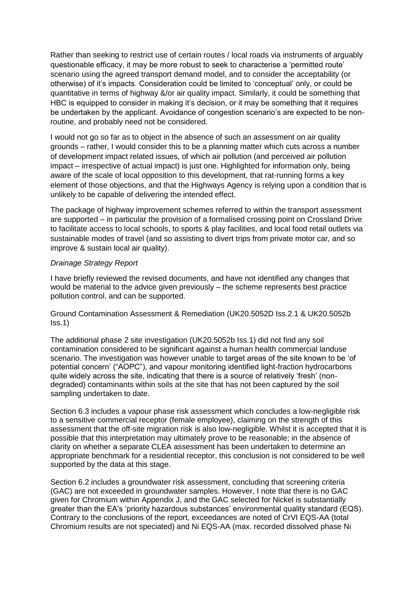Rather than seeking to restrict use of certain routes / local roads via instruments of arguably questionable efficacy, it may be more robust to seek to characterise a 'permitted route' scenario using the agreed transport demand model, and to consider the acceptability (or otherwise) of it's impacts. Consideration could be limited to 'conceptual' only, or could be quantitative in terms of highway &/or air quality impact. Similarly, it could be something that HBC is equipped to consider in making it's decision, or it may be something that it requires be undertaken by the applicant. Avoidance of congestion scenario's are expected to be nonroutine, and probably need not be considered.

I would not go so far as to object in the absence of such an assessment on air quality grounds – rather, I would consider this to be a planning matter which cuts across a number of development impact related issues, of which air pollution (and perceived air pollution impact – irrespective of actual impact) is just one. Highlighted for information only, being aware of the scale of local opposition to this development, that rat-running forms a key element of those objections, and that the Highways Agency is relying upon a condition that is unlikely to be capable of delivering the intended effect.

The package of highway improvement schemes referred to within the transport assessment are supported – in particular the provision of a formalised crossing point on Crossland Drive to facilitate access to local schools, to sports & play facilities, and local food retail outlets via sustainable modes of travel (and so assisting to divert trips from private motor car, and so improve & sustain local air quality).

## *Drainage Strategy Report*

I have briefly reviewed the revised documents, and have not identified any changes that would be material to the advice given previously – the scheme represents best practice pollution control, and can be supported.

Ground Contamination Assessment & Remediation (UK20.5052D Iss.2.1 & UK20.5052b  $|$ ss.1 $|$ 

The additional phase 2 site investigation (UK20.5052b Iss.1) did not find any soil contamination considered to be significant against a human health commercial landuse scenario. The investigation was however unable to target areas of the site known to be 'of potential concern' ("AOPC"), and vapour monitoring identified light-fraction hydrocarbons quite widely across the site, indicating that there is a source of relatively 'fresh' (nondegraded) contaminants within soils at the site that has not been captured by the soil sampling undertaken to date.

Section 6.3 includes a vapour phase risk assessment which concludes a low-negligible risk to a sensitive commercial receptor (female employee), claiming on the strength of this assessment that the off-site migration risk is also low-negligible. Whilst it is accepted that it is possible that this interpretation may ultimately prove to be reasonable; in the absence of clarity on whether a separate CLEA assessment has been undertaken to determine an appropriate benchmark for a residential receptor, this conclusion is not considered to be well supported by the data at this stage.

Section 6.2 includes a groundwater risk assessment, concluding that screening criteria (GAC) are not exceeded in groundwater samples. However, I note that there is no GAC given for Chromium within Appendix J, and the GAC selected for Nickel is substantially greater than the EA's 'priority hazardous substances' environmental quality standard (EQS). Contrary to the conclusions of the report, exceedances are noted of CrVI EQS-AA (total Chromium results are not speciated) and Ni EQS-AA (max. recorded dissolved phase Ni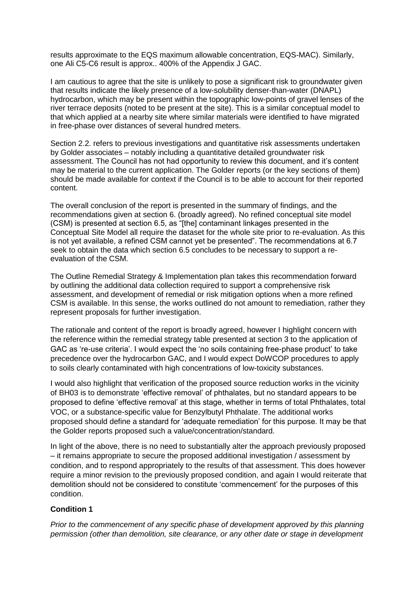results approximate to the EQS maximum allowable concentration, EQS-MAC). Similarly, one Ali C5-C6 result is approx.. 400% of the Appendix J GAC.

I am cautious to agree that the site is unlikely to pose a significant risk to groundwater given that results indicate the likely presence of a low-solubility denser-than-water (DNAPL) hydrocarbon, which may be present within the topographic low-points of gravel lenses of the river terrace deposits (noted to be present at the site). This is a similar conceptual model to that which applied at a nearby site where similar materials were identified to have migrated in free-phase over distances of several hundred meters.

Section 2.2. refers to previous investigations and quantitative risk assessments undertaken by Golder associates – notably including a quantitative detailed groundwater risk assessment. The Council has not had opportunity to review this document, and it's content may be material to the current application. The Golder reports (or the key sections of them) should be made available for context if the Council is to be able to account for their reported content.

The overall conclusion of the report is presented in the summary of findings, and the recommendations given at section 6. (broadly agreed). No refined conceptual site model (CSM) is presented at section 6.5, as "[the] contaminant linkages presented in the Conceptual Site Model all require the dataset for the whole site prior to re-evaluation. As this is not yet available, a refined CSM cannot yet be presented". The recommendations at 6.7 seek to obtain the data which section 6.5 concludes to be necessary to support a reevaluation of the CSM.

The Outline Remedial Strategy & Implementation plan takes this recommendation forward by outlining the additional data collection required to support a comprehensive risk assessment, and development of remedial or risk mitigation options when a more refined CSM is available. In this sense, the works outlined do not amount to remediation, rather they represent proposals for further investigation.

The rationale and content of the report is broadly agreed, however I highlight concern with the reference within the remedial strategy table presented at section 3 to the application of GAC as 're-use criteria'. I would expect the 'no soils containing free-phase product' to take precedence over the hydrocarbon GAC, and I would expect DoWCOP procedures to apply to soils clearly contaminated with high concentrations of low-toxicity substances.

I would also highlight that verification of the proposed source reduction works in the vicinity of BH03 is to demonstrate 'effective removal' of phthalates, but no standard appears to be proposed to define 'effective removal' at this stage, whether in terms of total Phthalates, total VOC, or a substance-specific value for Benzylbutyl Phthalate. The additional works proposed should define a standard for 'adequate remediation' for this purpose. It may be that the Golder reports proposed such a value/concentration/standard.

In light of the above, there is no need to substantially alter the approach previously proposed – it remains appropriate to secure the proposed additional investigation / assessment by condition, and to respond appropriately to the results of that assessment. This does however require a minor revision to the previously proposed condition, and again I would reiterate that demolition should not be considered to constitute 'commencement' for the purposes of this condition.

# **Condition 1**

*Prior to the commencement of any specific phase of development approved by this planning permission (other than demolition, site clearance, or any other date or stage in development*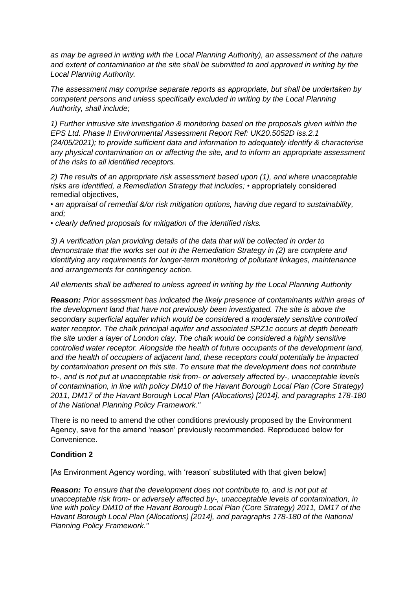*as may be agreed in writing with the Local Planning Authority), an assessment of the nature and extent of contamination at the site shall be submitted to and approved in writing by the Local Planning Authority.* 

*The assessment may comprise separate reports as appropriate, but shall be undertaken by competent persons and unless specifically excluded in writing by the Local Planning Authority, shall include;* 

*1) Further intrusive site investigation & monitoring based on the proposals given within the EPS Ltd. Phase II Environmental Assessment Report Ref: UK20.5052D iss.2.1 (24/05/2021); to provide sufficient data and information to adequately identify & characterise any physical contamination on or affecting the site, and to inform an appropriate assessment of the risks to all identified receptors.* 

*2) The results of an appropriate risk assessment based upon (1), and where unacceptable risks are identified, a Remediation Strategy that includes;* • appropriately considered remedial objectives,

• *an appraisal of remedial &/or risk mitigation options, having due regard to sustainability, and;* 

• *clearly defined proposals for mitigation of the identified risks.* 

*3) A verification plan providing details of the data that will be collected in order to demonstrate that the works set out in the Remediation Strategy in (2) are complete and identifying any requirements for longer-term monitoring of pollutant linkages, maintenance and arrangements for contingency action.* 

*All elements shall be adhered to unless agreed in writing by the Local Planning Authority*

*Reason: Prior assessment has indicated the likely presence of contaminants within areas of the development land that have not previously been investigated. The site is above the secondary superficial aquifer which would be considered a moderately sensitive controlled water receptor. The chalk principal aquifer and associated SPZ1c occurs at depth beneath the site under a layer of London clay. The chalk would be considered a highly sensitive controlled water receptor. Alongside the health of future occupants of the development land, and the health of occupiers of adjacent land, these receptors could potentially be impacted by contamination present on this site. To ensure that the development does not contribute to-, and is not put at unacceptable risk from- or adversely affected by-, unacceptable levels of contamination, in line with policy DM10 of the Havant Borough Local Plan (Core Strategy) 2011, DM17 of the Havant Borough Local Plan (Allocations) [2014], and paragraphs 178-180 of the National Planning Policy Framework."*

There is no need to amend the other conditions previously proposed by the Environment Agency, save for the amend 'reason' previously recommended. Reproduced below for Convenience.

# **Condition 2**

[As Environment Agency wording, with 'reason' substituted with that given below]

*Reason: To ensure that the development does not contribute to, and is not put at unacceptable risk from- or adversely affected by-, unacceptable levels of contamination, in line with policy DM10 of the Havant Borough Local Plan (Core Strategy) 2011, DM17 of the Havant Borough Local Plan (Allocations) [2014], and paragraphs 178-180 of the National Planning Policy Framework."*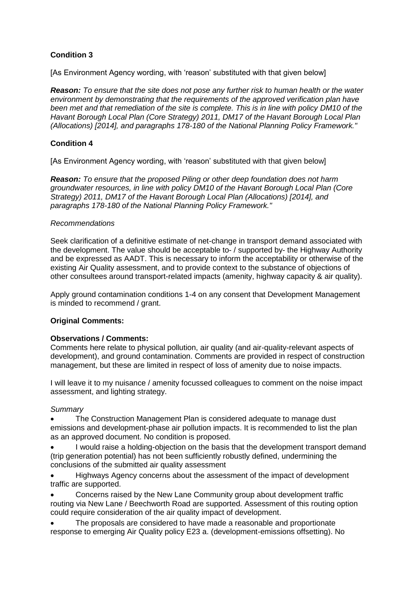# **Condition 3**

[As Environment Agency wording, with 'reason' substituted with that given below]

*Reason: To ensure that the site does not pose any further risk to human health or the water environment by demonstrating that the requirements of the approved verification plan have been met and that remediation of the site is complete. This is in line with policy DM10 of the Havant Borough Local Plan (Core Strategy) 2011, DM17 of the Havant Borough Local Plan (Allocations) [2014], and paragraphs 178-180 of the National Planning Policy Framework."* 

# **Condition 4**

[As Environment Agency wording, with 'reason' substituted with that given below]

*Reason: To ensure that the proposed Piling or other deep foundation does not harm groundwater resources, in line with policy DM10 of the Havant Borough Local Plan (Core Strategy) 2011, DM17 of the Havant Borough Local Plan (Allocations) [2014], and paragraphs 178-180 of the National Planning Policy Framework."* 

## *Recommendations*

Seek clarification of a definitive estimate of net-change in transport demand associated with the development. The value should be acceptable to- / supported by- the Highway Authority and be expressed as AADT. This is necessary to inform the acceptability or otherwise of the existing Air Quality assessment, and to provide context to the substance of objections of other consultees around transport-related impacts (amenity, highway capacity & air quality).

Apply ground contamination conditions 1-4 on any consent that Development Management is minded to recommend / grant.

# **Original Comments:**

# **Observations / Comments:**

Comments here relate to physical pollution, air quality (and air-quality-relevant aspects of development), and ground contamination. Comments are provided in respect of construction management, but these are limited in respect of loss of amenity due to noise impacts.

I will leave it to my nuisance / amenity focussed colleagues to comment on the noise impact assessment, and lighting strategy.

# *Summary*

 The Construction Management Plan is considered adequate to manage dust emissions and development-phase air pollution impacts. It is recommended to list the plan as an approved document. No condition is proposed.

 I would raise a holding-objection on the basis that the development transport demand (trip generation potential) has not been sufficiently robustly defined, undermining the conclusions of the submitted air quality assessment

 Highways Agency concerns about the assessment of the impact of development traffic are supported.

 Concerns raised by the New Lane Community group about development traffic routing via New Lane / Beechworth Road are supported. Assessment of this routing option could require consideration of the air quality impact of development.

 The proposals are considered to have made a reasonable and proportionate response to emerging Air Quality policy E23 a. (development-emissions offsetting). No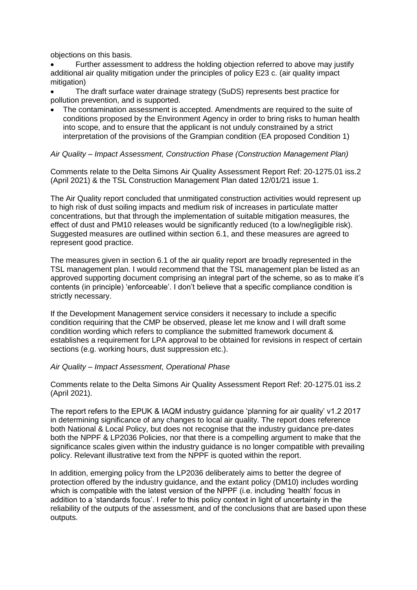objections on this basis.

 Further assessment to address the holding objection referred to above may justify additional air quality mitigation under the principles of policy E23 c. (air quality impact mitigation)

 The draft surface water drainage strategy (SuDS) represents best practice for pollution prevention, and is supported.

 The contamination assessment is accepted. Amendments are required to the suite of conditions proposed by the Environment Agency in order to bring risks to human health into scope, and to ensure that the applicant is not unduly constrained by a strict interpretation of the provisions of the Grampian condition (EA proposed Condition 1)

# *Air Quality – Impact Assessment, Construction Phase (Construction Management Plan)*

Comments relate to the Delta Simons Air Quality Assessment Report Ref: 20-1275.01 iss.2 (April 2021) & the TSL Construction Management Plan dated 12/01/21 issue 1.

The Air Quality report concluded that unmitigated construction activities would represent up to high risk of dust soiling impacts and medium risk of increases in particulate matter concentrations, but that through the implementation of suitable mitigation measures, the effect of dust and PM10 releases would be significantly reduced (to a low/negligible risk). Suggested measures are outlined within section 6.1, and these measures are agreed to represent good practice.

The measures given in section 6.1 of the air quality report are broadly represented in the TSL management plan. I would recommend that the TSL management plan be listed as an approved supporting document comprising an integral part of the scheme, so as to make it's contents (in principle) 'enforceable'. I don't believe that a specific compliance condition is strictly necessary.

If the Development Management service considers it necessary to include a specific condition requiring that the CMP be observed, please let me know and I will draft some condition wording which refers to compliance the submitted framework document & establishes a requirement for LPA approval to be obtained for revisions in respect of certain sections (e.g. working hours, dust suppression etc.).

#### *Air Quality – Impact Assessment, Operational Phase*

Comments relate to the Delta Simons Air Quality Assessment Report Ref: 20-1275.01 iss.2 (April 2021).

The report refers to the EPUK & IAQM industry guidance 'planning for air quality' v1.2 2017 in determining significance of any changes to local air quality. The report does reference both National & Local Policy, but does not recognise that the industry guidance pre-dates both the NPPF & LP2036 Policies, nor that there is a compelling argument to make that the significance scales given within the industry guidance is no longer compatible with prevailing policy. Relevant illustrative text from the NPPF is quoted within the report.

In addition, emerging policy from the LP2036 deliberately aims to better the degree of protection offered by the industry guidance, and the extant policy (DM10) includes wording which is compatible with the latest version of the NPPF (i.e. including 'health' focus in addition to a 'standards focus'. I refer to this policy context in light of uncertainty in the reliability of the outputs of the assessment, and of the conclusions that are based upon these outputs.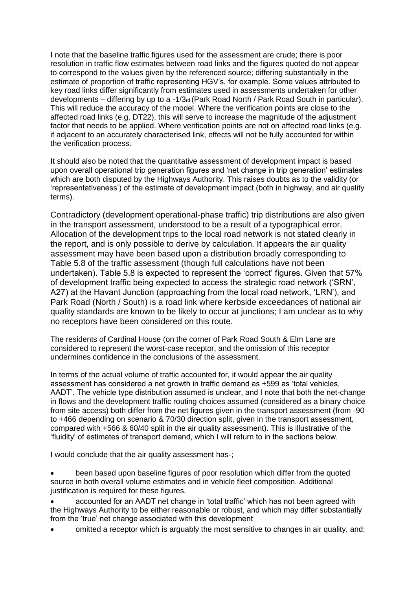I note that the baseline traffic figures used for the assessment are crude; there is poor resolution in traffic flow estimates between road links and the figures quoted do not appear to correspond to the values given by the referenced source; differing substantially in the estimate of proportion of traffic representing HGV's, for example. Some values attributed to key road links differ significantly from estimates used in assessments undertaken for other developments – differing by up to a -1/3rd (Park Road North / Park Road South in particular). This will reduce the accuracy of the model. Where the verification points are close to the affected road links (e.g. DT22), this will serve to increase the magnitude of the adjustment factor that needs to be applied. Where verification points are not on affected road links (e.g. if adjacent to an accurately characterised link, effects will not be fully accounted for within the verification process.

It should also be noted that the quantitative assessment of development impact is based upon overall operational trip generation figures and 'net change in trip generation' estimates which are both disputed by the Highways Authority. This raises doubts as to the validity (or 'representativeness') of the estimate of development impact (both in highway, and air quality terms).

Contradictory (development operational-phase traffic) trip distributions are also given in the transport assessment, understood to be a result of a typographical error. Allocation of the development trips to the local road network is not stated clearly in the report, and is only possible to derive by calculation. It appears the air quality assessment may have been based upon a distribution broadly corresponding to Table 5.8 of the traffic assessment (though full calculations have not been undertaken). Table 5.8 is expected to represent the 'correct' figures. Given that 57% of development traffic being expected to access the strategic road network ('SRN', A27) at the Havant Junction (approaching from the local road network, 'LRN'), and Park Road (North / South) is a road link where kerbside exceedances of national air quality standards are known to be likely to occur at junctions; I am unclear as to why no receptors have been considered on this route.

The residents of Cardinal House (on the corner of Park Road South & Elm Lane are considered to represent the worst-case receptor, and the omission of this receptor undermines confidence in the conclusions of the assessment.

In terms of the actual volume of traffic accounted for, it would appear the air quality assessment has considered a net growth in traffic demand as +599 as 'total vehicles, AADT'. The vehicle type distribution assumed is unclear, and I note that both the net-change in flows and the development traffic routing choices assumed (considered as a binary choice from site access) both differ from the net figures given in the transport assessment (from -90 to +466 depending on scenario & 70/30 direction split, given in the transport assessment, compared with +566 & 60/40 split in the air quality assessment). This is illustrative of the 'fluidity' of estimates of transport demand, which I will return to in the sections below.

I would conclude that the air quality assessment has-;

 been based upon baseline figures of poor resolution which differ from the quoted source in both overall volume estimates and in vehicle fleet composition. Additional justification is required for these figures.

 accounted for an AADT net change in 'total traffic' which has not been agreed with the Highways Authority to be either reasonable or robust, and which may differ substantially from the 'true' net change associated with this development

omitted a receptor which is arguably the most sensitive to changes in air quality, and;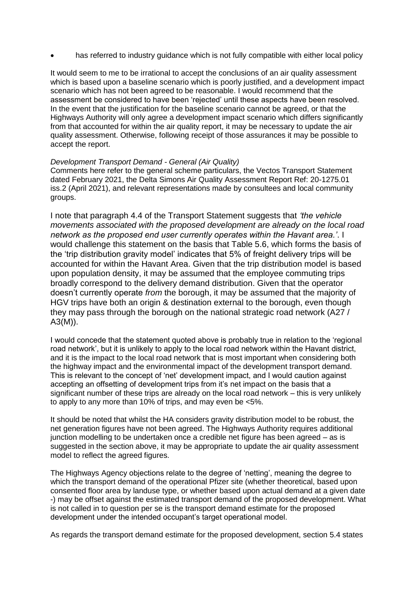has referred to industry guidance which is not fully compatible with either local policy

It would seem to me to be irrational to accept the conclusions of an air quality assessment which is based upon a baseline scenario which is poorly justified, and a development impact scenario which has not been agreed to be reasonable. I would recommend that the assessment be considered to have been 'rejected' until these aspects have been resolved. In the event that the justification for the baseline scenario cannot be agreed, or that the Highways Authority will only agree a development impact scenario which differs significantly from that accounted for within the air quality report, it may be necessary to update the air quality assessment. Otherwise, following receipt of those assurances it may be possible to accept the report.

## *Development Transport Demand - General (Air Quality)*

Comments here refer to the general scheme particulars, the Vectos Transport Statement dated February 2021, the Delta Simons Air Quality Assessment Report Ref: 20-1275.01 iss.2 (April 2021), and relevant representations made by consultees and local community groups.

I note that paragraph 4.4 of the Transport Statement suggests that *'the vehicle movements associated with the proposed development are already on the local road network as the proposed end user currently operates within the Havant area.'*. I would challenge this statement on the basis that Table 5.6, which forms the basis of the 'trip distribution gravity model' indicates that 5% of freight delivery trips will be accounted for within the Havant Area. Given that the trip distribution model is based upon population density, it may be assumed that the employee commuting trips broadly correspond to the delivery demand distribution. Given that the operator doesn't currently operate *from* the borough, it may be assumed that the majority of HGV trips have both an origin & destination external to the borough, even though they may pass through the borough on the national strategic road network (A27 / A3(M)).

I would concede that the statement quoted above is probably true in relation to the 'regional road network', but it is unlikely to apply to the local road network within the Havant district, and it is the impact to the local road network that is most important when considering both the highway impact and the environmental impact of the development transport demand. This is relevant to the concept of 'net' development impact, and I would caution against accepting an offsetting of development trips from it's net impact on the basis that a significant number of these trips are already on the local road network – this is very unlikely to apply to any more than 10% of trips, and may even be <5%.

It should be noted that whilst the HA considers gravity distribution model to be robust, the net generation figures have not been agreed. The Highways Authority requires additional junction modelling to be undertaken once a credible net figure has been agreed – as is suggested in the section above, it may be appropriate to update the air quality assessment model to reflect the agreed figures.

The Highways Agency objections relate to the degree of 'netting', meaning the degree to which the transport demand of the operational Pfizer site (whether theoretical, based upon consented floor area by landuse type, or whether based upon actual demand at a given date -) may be offset against the estimated transport demand of the proposed development. What is not called in to question per se is the transport demand estimate for the proposed development under the intended occupant's target operational model.

As regards the transport demand estimate for the proposed development, section 5.4 states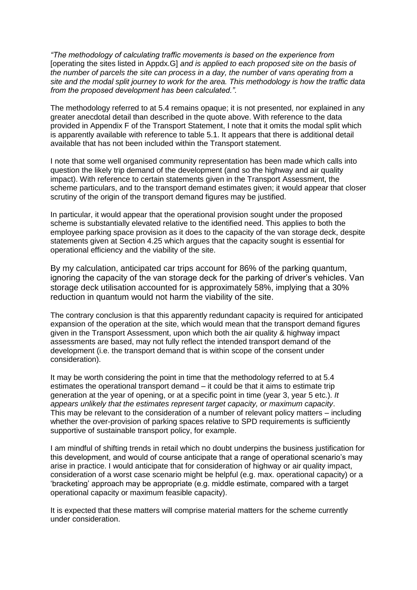*"The methodology of calculating traffic movements is based on the experience from*  [operating the sites listed in Appdx.G] *and is applied to each proposed site on the basis of the number of parcels the site can process in a day, the number of vans operating from a site and the modal split journey to work for the area. This methodology is how the traffic data from the proposed development has been calculated."*.

The methodology referred to at 5.4 remains opaque; it is not presented, nor explained in any greater anecdotal detail than described in the quote above. With reference to the data provided in Appendix F of the Transport Statement, I note that it omits the modal split which is apparently available with reference to table 5.1. It appears that there is additional detail available that has not been included within the Transport statement.

I note that some well organised community representation has been made which calls into question the likely trip demand of the development (and so the highway and air quality impact). With reference to certain statements given in the Transport Assessment, the scheme particulars, and to the transport demand estimates given; it would appear that closer scrutiny of the origin of the transport demand figures may be justified.

In particular, it would appear that the operational provision sought under the proposed scheme is substantially elevated relative to the identified need. This applies to both the employee parking space provision as it does to the capacity of the van storage deck, despite statements given at Section 4.25 which argues that the capacity sought is essential for operational efficiency and the viability of the site.

By my calculation, anticipated car trips account for 86% of the parking quantum, ignoring the capacity of the van storage deck for the parking of driver's vehicles. Van storage deck utilisation accounted for is approximately 58%, implying that a 30% reduction in quantum would not harm the viability of the site.

The contrary conclusion is that this apparently redundant capacity is required for anticipated expansion of the operation at the site, which would mean that the transport demand figures given in the Transport Assessment, upon which both the air quality & highway impact assessments are based, may not fully reflect the intended transport demand of the development (i.e. the transport demand that is within scope of the consent under consideration).

It may be worth considering the point in time that the methodology referred to at 5.4 estimates the operational transport demand – it could be that it aims to estimate trip generation at the year of opening, or at a specific point in time (year 3, year 5 etc.). *It appears unlikely that the estimates represent target capacity, or maximum capacity*. This may be relevant to the consideration of a number of relevant policy matters – including whether the over-provision of parking spaces relative to SPD requirements is sufficiently supportive of sustainable transport policy, for example.

I am mindful of shifting trends in retail which no doubt underpins the business justification for this development, and would of course anticipate that a range of operational scenario's may arise in practice. I would anticipate that for consideration of highway or air quality impact, consideration of a worst case scenario might be helpful (e.g. max. operational capacity) or a 'bracketing' approach may be appropriate (e.g. middle estimate, compared with a target operational capacity or maximum feasible capacity).

It is expected that these matters will comprise material matters for the scheme currently under consideration.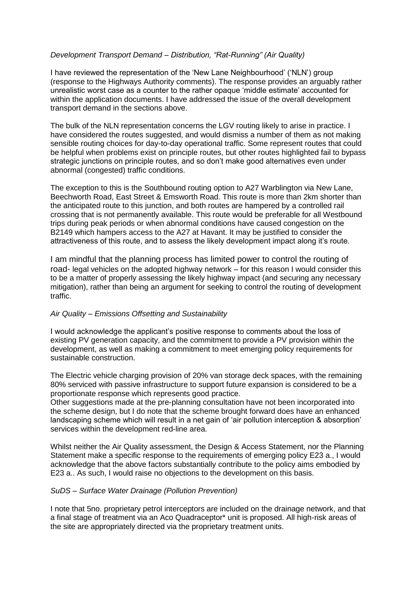## *Development Transport Demand – Distribution, "Rat-Running" (Air Quality)*

I have reviewed the representation of the 'New Lane Neighbourhood' ('NLN') group (response to the Highways Authority comments). The response provides an arguably rather unrealistic worst case as a counter to the rather opaque 'middle estimate' accounted for within the application documents. I have addressed the issue of the overall development transport demand in the sections above.

The bulk of the NLN representation concerns the LGV routing likely to arise in practice. I have considered the routes suggested, and would dismiss a number of them as not making sensible routing choices for day-to-day operational traffic. Some represent routes that could be helpful when problems exist on principle routes, but other routes highlighted fail to bypass strategic junctions on principle routes, and so don't make good alternatives even under abnormal (congested) traffic conditions.

The exception to this is the Southbound routing option to A27 Warblington via New Lane, Beechworth Road, East Street & Emsworth Road. This route is more than 2km shorter than the anticipated route to this junction, and both routes are hampered by a controlled rail crossing that is not permanently available. This route would be preferable for all Westbound trips during peak periods or when abnormal conditions have caused congestion on the B2149 which hampers access to the A27 at Havant. It may be justified to consider the attractiveness of this route, and to assess the likely development impact along it's route.

I am mindful that the planning process has limited power to control the routing of road- legal vehicles on the adopted highway network – for this reason I would consider this to be a matter of properly assessing the likely highway impact (and securing any necessary mitigation), rather than being an argument for seeking to control the routing of development traffic.

# *Air Quality – Emissions Offsetting and Sustainability*

I would acknowledge the applicant's positive response to comments about the loss of existing PV generation capacity, and the commitment to provide a PV provision within the development, as well as making a commitment to meet emerging policy requirements for sustainable construction.

The Electric vehicle charging provision of 20% van storage deck spaces, with the remaining 80% serviced with passive infrastructure to support future expansion is considered to be a proportionate response which represents good practice.

Other suggestions made at the pre-planning consultation have not been incorporated into the scheme design, but I do note that the scheme brought forward does have an enhanced landscaping scheme which will result in a net gain of 'air pollution interception & absorption' services within the development red-line area.

Whilst neither the Air Quality assessment, the Design & Access Statement, nor the Planning Statement make a specific response to the requirements of emerging policy E23 a., I would acknowledge that the above factors substantially contribute to the policy aims embodied by E23 a.. As such, I would raise no objections to the development on this basis.

#### *SuDS – Surface Water Drainage (Pollution Prevention)*

I note that 5no. proprietary petrol interceptors are included on the drainage network, and that a final stage of treatment via an Aco Quadraceptor\* unit is proposed. All high-risk areas of the site are appropriately directed via the proprietary treatment units.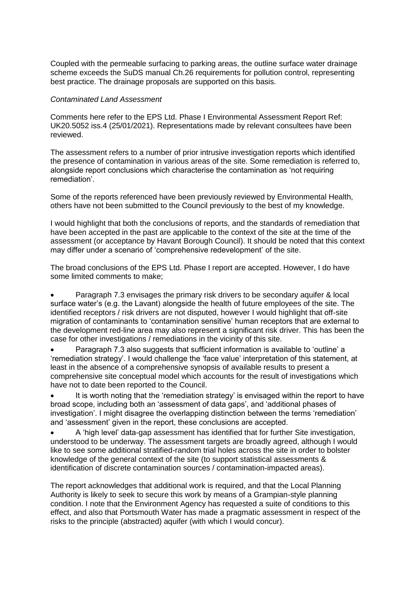Coupled with the permeable surfacing to parking areas, the outline surface water drainage scheme exceeds the SuDS manual Ch.26 requirements for pollution control, representing best practice. The drainage proposals are supported on this basis.

## *Contaminated Land Assessment*

Comments here refer to the EPS Ltd. Phase I Environmental Assessment Report Ref: UK20.5052 iss.4 (25/01/2021). Representations made by relevant consultees have been reviewed.

The assessment refers to a number of prior intrusive investigation reports which identified the presence of contamination in various areas of the site. Some remediation is referred to, alongside report conclusions which characterise the contamination as 'not requiring remediation'.

Some of the reports referenced have been previously reviewed by Environmental Health, others have not been submitted to the Council previously to the best of my knowledge.

I would highlight that both the conclusions of reports, and the standards of remediation that have been accepted in the past are applicable to the context of the site at the time of the assessment (or acceptance by Havant Borough Council). It should be noted that this context may differ under a scenario of 'comprehensive redevelopment' of the site.

The broad conclusions of the EPS Ltd. Phase I report are accepted. However, I do have some limited comments to make;

 Paragraph 7.3 envisages the primary risk drivers to be secondary aquifer & local surface water's (e.g. the Lavant) alongside the health of future employees of the site. The identified receptors / risk drivers are not disputed, however I would highlight that off-site migration of contaminants to 'contamination sensitive' human receptors that are external to the development red-line area may also represent a significant risk driver. This has been the case for other investigations / remediations in the vicinity of this site.

 Paragraph 7.3 also suggests that sufficient information is available to 'outline' a 'remediation strategy'. I would challenge the 'face value' interpretation of this statement, at least in the absence of a comprehensive synopsis of available results to present a comprehensive site conceptual model which accounts for the result of investigations which have not to date been reported to the Council.

 It is worth noting that the 'remediation strategy' is envisaged within the report to have broad scope, including both an 'assessment of data gaps', and 'additional phases of investigation'. I might disagree the overlapping distinction between the terms 'remediation' and 'assessment' given in the report, these conclusions are accepted.

 A 'high level' data-gap assessment has identified that for further Site investigation, understood to be underway. The assessment targets are broadly agreed, although I would like to see some additional stratified-random trial holes across the site in order to bolster knowledge of the general context of the site (to support statistical assessments & identification of discrete contamination sources / contamination-impacted areas).

The report acknowledges that additional work is required, and that the Local Planning Authority is likely to seek to secure this work by means of a Grampian-style planning condition. I note that the Environment Agency has requested a suite of conditions to this effect, and also that Portsmouth Water has made a pragmatic assessment in respect of the risks to the principle (abstracted) aquifer (with which I would concur).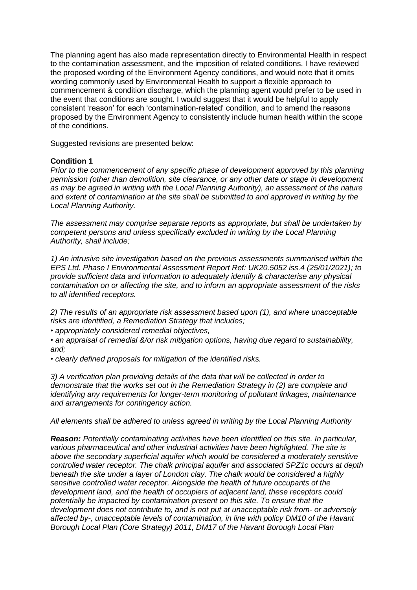The planning agent has also made representation directly to Environmental Health in respect to the contamination assessment, and the imposition of related conditions. I have reviewed the proposed wording of the Environment Agency conditions, and would note that it omits wording commonly used by Environmental Health to support a flexible approach to commencement & condition discharge, which the planning agent would prefer to be used in the event that conditions are sought. I would suggest that it would be helpful to apply consistent 'reason' for each 'contamination-related' condition, and to amend the reasons proposed by the Environment Agency to consistently include human health within the scope of the conditions.

Suggested revisions are presented below:

## **Condition 1**

*Prior to the commencement of any specific phase of development approved by this planning permission (other than demolition, site clearance, or any other date or stage in development as may be agreed in writing with the Local Planning Authority), an assessment of the nature and extent of contamination at the site shall be submitted to and approved in writing by the Local Planning Authority.* 

*The assessment may comprise separate reports as appropriate, but shall be undertaken by competent persons and unless specifically excluded in writing by the Local Planning Authority, shall include;* 

*1) An intrusive site investigation based on the previous assessments summarised within the EPS Ltd. Phase I Environmental Assessment Report Ref: UK20.5052 iss.4 (25/01/2021); to provide sufficient data and information to adequately identify & characterise any physical contamination on or affecting the site, and to inform an appropriate assessment of the risks to all identified receptors.* 

*2) The results of an appropriate risk assessment based upon (1), and where unacceptable risks are identified, a Remediation Strategy that includes;* 

• *appropriately considered remedial objectives,* 

• *an appraisal of remedial &/or risk mitigation options, having due regard to sustainability, and;* 

• *clearly defined proposals for mitigation of the identified risks.* 

*3) A verification plan providing details of the data that will be collected in order to demonstrate that the works set out in the Remediation Strategy in (2) are complete and identifying any requirements for longer-term monitoring of pollutant linkages, maintenance and arrangements for contingency action.* 

*All elements shall be adhered to unless agreed in writing by the Local Planning Authority* 

*Reason: Potentially contaminating activities have been identified on this site. In particular, various pharmaceutical and other industrial activities have been highlighted. The site is above the secondary superficial aquifer which would be considered a moderately sensitive controlled water receptor. The chalk principal aquifer and associated SPZ1c occurs at depth beneath the site under a layer of London clay. The chalk would be considered a highly sensitive controlled water receptor. Alongside the health of future occupants of the development land, and the health of occupiers of adjacent land, these receptors could potentially be impacted by contamination present on this site. To ensure that the development does not contribute to, and is not put at unacceptable risk from- or adversely affected by-, unacceptable levels of contamination, in line with policy DM10 of the Havant Borough Local Plan (Core Strategy) 2011, DM17 of the Havant Borough Local Plan*